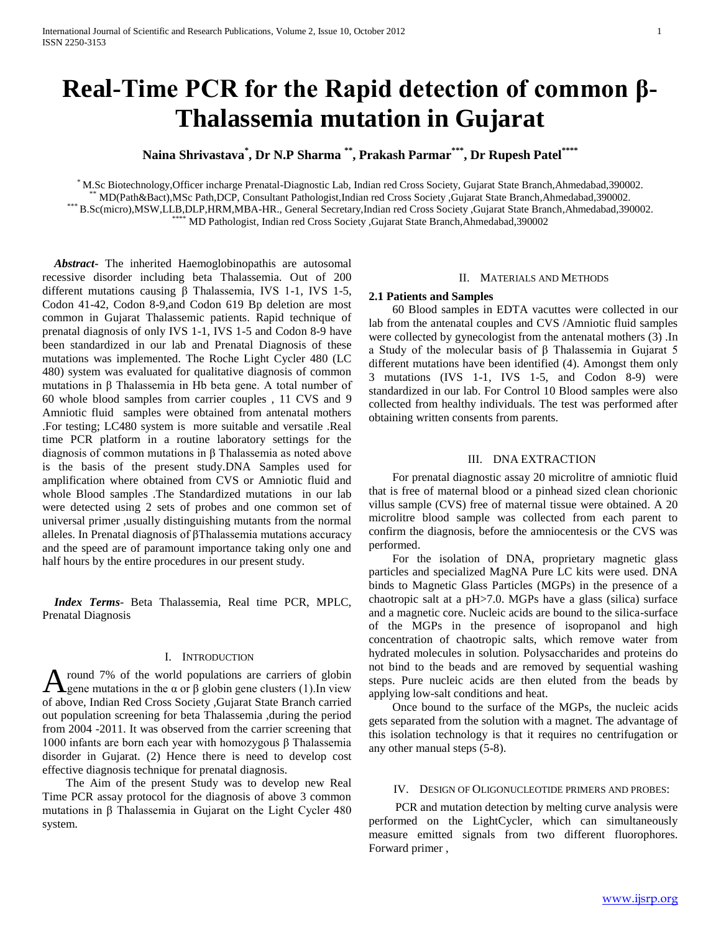# **Real-Time PCR for the Rapid detection of common β-Thalassemia mutation in Gujarat**

**Naina Shrivastava\* , Dr N.P Sharma \*\* , Prakash Parmar \*\*\* , Dr Rupesh Patel\*\*\*\***

\* M.Sc Biotechnology,Officer incharge Prenatal-Diagnostic Lab, Indian red Cross Society, Gujarat State Branch,Ahmedabad,390002. \*\* MD(Path&Bact),MSc Path,DCP, Consultant Pathologist,Indian red Cross Society ,Gujarat State Branch,Ahmedabad,390002. \*\*\* B.Sc(micro),MSW,LLB,DLP,HRM,MBA-HR., General Secretary,Indian red Cross Society ,Gujarat State Branch,Ahmedabad,390002. \*\*\*\* MD Pathologist, Indian red Cross Society ,Gujarat State Branch,Ahmedabad,390002

 *Abstract***-** The inherited Haemoglobinopathis are autosomal recessive disorder including beta Thalassemia. Out of 200 different mutations causing β Thalassemia, IVS 1-1, IVS 1-5, Codon 41-42, Codon 8-9,and Codon 619 Bp deletion are most common in Gujarat Thalassemic patients. Rapid technique of prenatal diagnosis of only IVS 1-1, IVS 1-5 and Codon 8-9 have been standardized in our lab and Prenatal Diagnosis of these mutations was implemented. The Roche Light Cycler 480 (LC 480) system was evaluated for qualitative diagnosis of common mutations in β Thalassemia in Hb beta gene. A total number of 60 whole blood samples from carrier couples , 11 CVS and 9 Amniotic fluid samples were obtained from antenatal mothers .For testing; LC480 system is more suitable and versatile .Real time PCR platform in a routine laboratory settings for the diagnosis of common mutations in β Thalassemia as noted above is the basis of the present study.DNA Samples used for amplification where obtained from CVS or Amniotic fluid and whole Blood samples .The Standardized mutations in our lab were detected using 2 sets of probes and one common set of universal primer ,usually distinguishing mutants from the normal alleles. In Prenatal diagnosis of βThalassemia mutations accuracy and the speed are of paramount importance taking only one and half hours by the entire procedures in our present study.

 *Index Terms*- Beta Thalassemia, Real time PCR, MPLC, Prenatal Diagnosis

## I. INTRODUCTION

round 7% of the world populations are carriers of globin A round 7% of the world populations are carriers of globin gene mutations in the α or β globin gene clusters (1).In view of above, Indian Red Cross Society ,Gujarat State Branch carried out population screening for beta Thalassemia ,during the period from 2004 -2011. It was observed from the carrier screening that 1000 infants are born each year with homozygous β Thalassemia disorder in Gujarat. (2) Hence there is need to develop cost effective diagnosis technique for prenatal diagnosis.

 The Aim of the present Study was to develop new Real Time PCR assay protocol for the diagnosis of above 3 common mutations in β Thalassemia in Gujarat on the Light Cycler 480 system.

## II. MATERIALS AND METHODS

#### **2.1 Patients and Samples**

 60 Blood samples in EDTA vacuttes were collected in our lab from the antenatal couples and CVS /Amniotic fluid samples were collected by gynecologist from the antenatal mothers (3) .In a Study of the molecular basis of β Thalassemia in Gujarat 5 different mutations have been identified (4). Amongst them only 3 mutations (IVS 1-1, IVS 1-5, and Codon 8-9) were standardized in our lab. For Control 10 Blood samples were also collected from healthy individuals. The test was performed after obtaining written consents from parents.

## III. DNA EXTRACTION

 For prenatal diagnostic assay 20 microlitre of amniotic fluid that is free of maternal blood or a pinhead sized clean chorionic villus sample (CVS) free of maternal tissue were obtained. A 20 microlitre blood sample was collected from each parent to confirm the diagnosis, before the amniocentesis or the CVS was performed.

 For the isolation of DNA, proprietary magnetic glass particles and specialized MagNA Pure LC kits were used. DNA binds to Magnetic Glass Particles (MGPs) in the presence of a chaotropic salt at a pH>7.0. MGPs have a glass (silica) surface and a magnetic core. Nucleic acids are bound to the silica-surface of the MGPs in the presence of isopropanol and high concentration of chaotropic salts, which remove water from hydrated molecules in solution. Polysaccharides and proteins do not bind to the beads and are removed by sequential washing steps. Pure nucleic acids are then eluted from the beads by applying low-salt conditions and heat.

 Once bound to the surface of the MGPs, the nucleic acids gets separated from the solution with a magnet. The advantage of this isolation technology is that it requires no centrifugation or any other manual steps (5-8).

#### IV. DESIGN OF OLIGONUCLEOTIDE PRIMERS AND PROBES:

 PCR and mutation detection by melting curve analysis were performed on the LightCycler, which can simultaneously measure emitted signals from two different fluorophores. Forward primer ,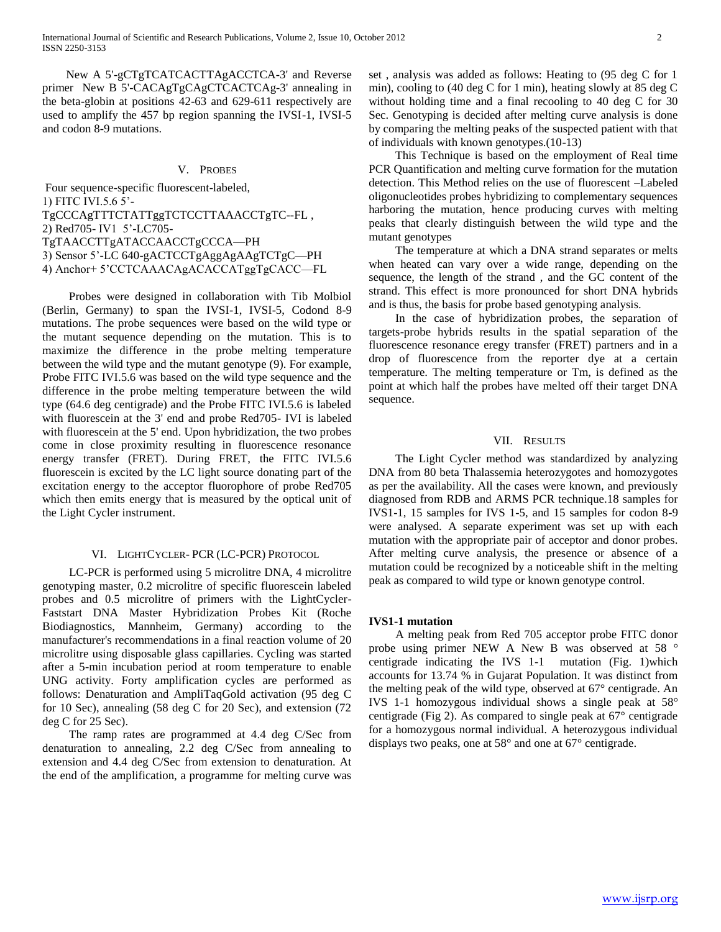International Journal of Scientific and Research Publications, Volume 2, Issue 10, October 2012 2 ISSN 2250-3153

 New A 5'-gCTgTCATCACTTAgACCTCA-3' and Reverse primer New B 5'-CACAgTgCAgCTCACTCAg-3' annealing in the beta-globin at positions 42-63 and 629-611 respectively are used to amplify the 457 bp region spanning the IVSI-1, IVSI-5 and codon 8-9 mutations.

#### V. PROBES

Four sequence-specific fluorescent-labeled, 1) FITC IVI.5.6 5'- TgCCCAgTTTCTATTggTCTCCTTAAACCTgTC--FL , 2) Red705- IV1 5'-LC705- TgTAACCTTgATACCAACCTgCCCA—PH 3) Sensor 5'-LC 640-gACTCCTgAggAgAAgTCTgC—PH 4) Anchor+ 5'CCTCAAACAgACACCATggTgCACC—FL

 Probes were designed in collaboration with Tib Molbiol (Berlin, Germany) to span the IVSI-1, IVSI-5, Codond 8-9 mutations. The probe sequences were based on the wild type or the mutant sequence depending on the mutation. This is to maximize the difference in the probe melting temperature between the wild type and the mutant genotype (9). For example, Probe FITC IVI.5.6 was based on the wild type sequence and the difference in the probe melting temperature between the wild type (64.6 deg centigrade) and the Probe FITC IVI.5.6 is labeled with fluorescein at the 3' end and probe Red705- IVI is labeled with fluorescein at the 5' end. Upon hybridization, the two probes come in close proximity resulting in fluorescence resonance energy transfer (FRET). During FRET, the FITC IVI.5.6 fluorescein is excited by the LC light source donating part of the excitation energy to the acceptor fluorophore of probe Red705 which then emits energy that is measured by the optical unit of the Light Cycler instrument.

#### VI. LIGHTCYCLER- PCR (LC-PCR) PROTOCOL

 LC-PCR is performed using 5 microlitre DNA, 4 microlitre genotyping master, 0.2 microlitre of specific fluorescein labeled probes and 0.5 microlitre of primers with the LightCycler-Faststart DNA Master Hybridization Probes Kit (Roche Biodiagnostics, Mannheim, Germany) according to the manufacturer's recommendations in a final reaction volume of 20 microlitre using disposable glass capillaries. Cycling was started after a 5-min incubation period at room temperature to enable UNG activity. Forty amplification cycles are performed as follows: Denaturation and AmpliTaqGold activation (95 deg C for 10 Sec), annealing (58 deg C for 20 Sec), and extension (72 deg C for 25 Sec).

 The ramp rates are programmed at 4.4 deg C/Sec from denaturation to annealing, 2.2 deg C/Sec from annealing to extension and 4.4 deg C/Sec from extension to denaturation. At the end of the amplification, a programme for melting curve was

set , analysis was added as follows: Heating to (95 deg C for 1 min), cooling to (40 deg C for 1 min), heating slowly at 85 deg C without holding time and a final recooling to 40 deg C for 30 Sec. Genotyping is decided after melting curve analysis is done by comparing the melting peaks of the suspected patient with that of individuals with known genotypes.(10-13)

 This Technique is based on the employment of Real time PCR Quantification and melting curve formation for the mutation detection. This Method relies on the use of fluorescent –Labeled oligonucleotides probes hybridizing to complementary sequences harboring the mutation, hence producing curves with melting peaks that clearly distinguish between the wild type and the mutant genotypes

 The temperature at which a DNA strand separates or melts when heated can vary over a wide range, depending on the sequence, the length of the strand , and the GC content of the strand. This effect is more pronounced for short DNA hybrids and is thus, the basis for probe based genotyping analysis.

 In the case of hybridization probes, the separation of targets-probe hybrids results in the spatial separation of the fluorescence resonance eregy transfer (FRET) partners and in a drop of fluorescence from the reporter dye at a certain temperature. The melting temperature or Tm, is defined as the point at which half the probes have melted off their target DNA sequence.

## VII. RESULTS

 The Light Cycler method was standardized by analyzing DNA from 80 beta Thalassemia heterozygotes and homozygotes as per the availability. All the cases were known, and previously diagnosed from RDB and ARMS PCR technique.18 samples for IVS1-1, 15 samples for IVS 1-5, and 15 samples for codon 8-9 were analysed. A separate experiment was set up with each mutation with the appropriate pair of acceptor and donor probes. After melting curve analysis, the presence or absence of a mutation could be recognized by a noticeable shift in the melting peak as compared to wild type or known genotype control.

## **IVS1-1 mutation**

 A melting peak from Red 705 acceptor probe FITC donor probe using primer NEW A New B was observed at 58 ° centigrade indicating the IVS 1-1 mutation (Fig. 1)which accounts for 13.74 % in Gujarat Population. It was distinct from the melting peak of the wild type, observed at 67° centigrade. An IVS 1-1 homozygous individual shows a single peak at 58° centigrade (Fig 2). As compared to single peak at 67° centigrade for a homozygous normal individual. A heterozygous individual displays two peaks, one at 58° and one at 67° centigrade.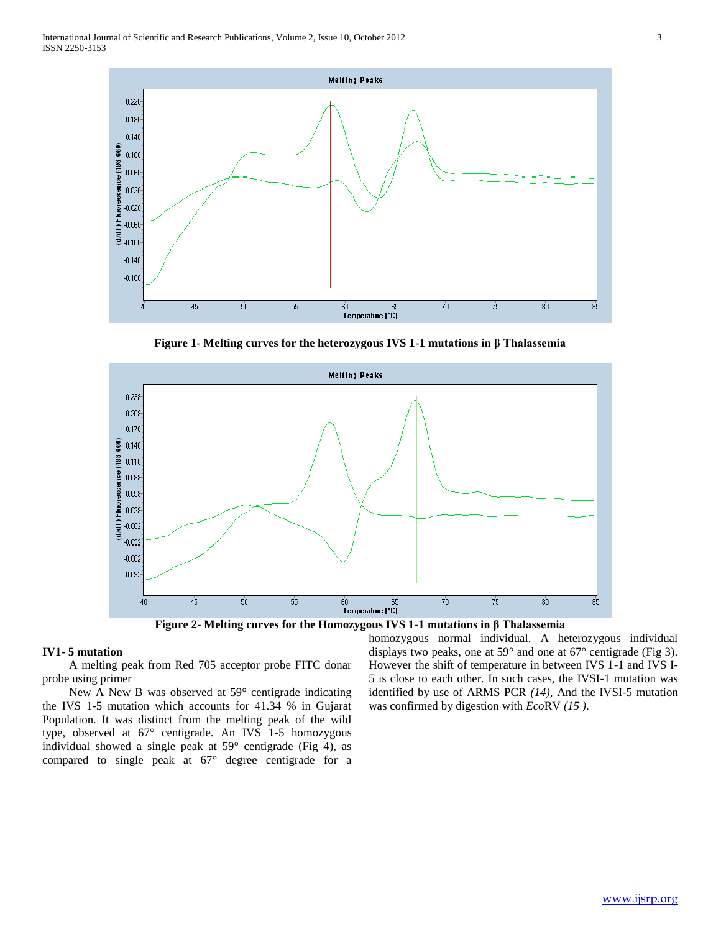

**Figure 1- Melting curves for the heterozygous IVS 1-1 mutations in β Thalassemia**





## **IV1- 5 mutation**

 A melting peak from Red 705 acceptor probe FITC donar probe using primer

 New A New B was observed at 59° centigrade indicating the IVS 1-5 mutation which accounts for 41.34 % in Gujarat Population. It was distinct from the melting peak of the wild type, observed at 67° centigrade. An IVS 1-5 homozygous individual showed a single peak at 59° centigrade (Fig 4), as compared to single peak at 67° degree centigrade for a

homozygous normal individual. A heterozygous individual displays two peaks, one at 59° and one at 67° centigrade (Fig 3). However the shift of temperature in between IVS 1-1 and IVS I-5 is close to each other. In such cases, the IVSI-1 mutation was identified by use of ARMS PCR *(14)*, And the IVSI-5 mutation was confirmed by digestion with *Eco*RV *(15 )*.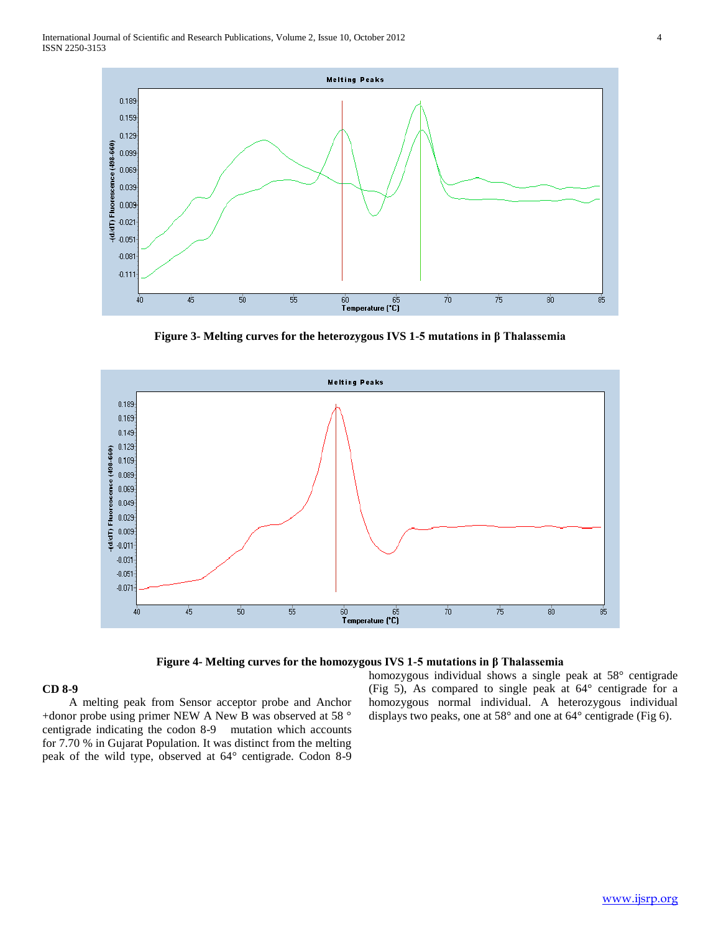

**Figure 3- Melting curves for the heterozygous IVS 1-5 mutations in β Thalassemia**



### **Figure 4- Melting curves for the homozygous IVS 1-5 mutations in β Thalassemia**

## **CD 8-9**

 A melting peak from Sensor acceptor probe and Anchor +donor probe using primer NEW A New B was observed at 58 ° centigrade indicating the codon 8-9 mutation which accounts for 7.70 % in Gujarat Population. It was distinct from the melting peak of the wild type, observed at 64° centigrade. Codon 8-9 homozygous individual shows a single peak at 58° centigrade (Fig 5), As compared to single peak at 64° centigrade for a homozygous normal individual. A heterozygous individual displays two peaks, one at 58° and one at 64° centigrade (Fig 6).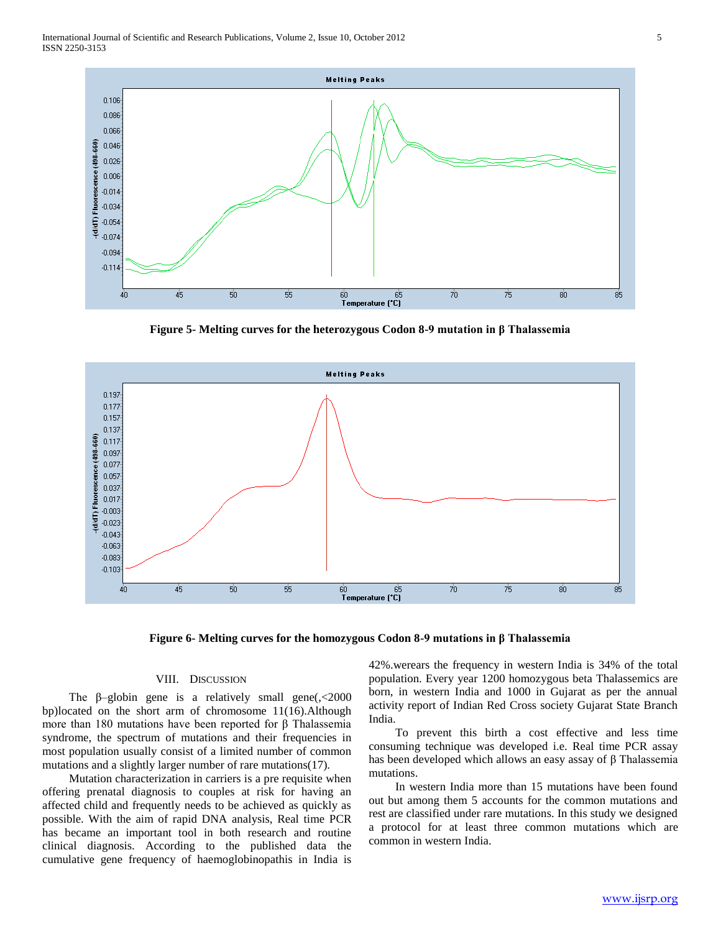

**Figure 5- Melting curves for the heterozygous Codon 8-9 mutation in β Thalassemia**





#### VIII. DISCUSSION

The  $\beta$ -globin gene is a relatively small gene(, <2000) bp)located on the short arm of chromosome 11(16).Although more than 180 mutations have been reported for β Thalassemia syndrome, the spectrum of mutations and their frequencies in most population usually consist of a limited number of common mutations and a slightly larger number of rare mutations(17).

 Mutation characterization in carriers is a pre requisite when offering prenatal diagnosis to couples at risk for having an affected child and frequently needs to be achieved as quickly as possible. With the aim of rapid DNA analysis, Real time PCR has became an important tool in both research and routine clinical diagnosis. According to the published data the cumulative gene frequency of haemoglobinopathis in India is

42%.werears the frequency in western India is 34% of the total population. Every year 1200 homozygous beta Thalassemics are born, in western India and 1000 in Gujarat as per the annual activity report of Indian Red Cross society Gujarat State Branch India.

 To prevent this birth a cost effective and less time consuming technique was developed i.e. Real time PCR assay has been developed which allows an easy assay of β Thalassemia mutations.

 In western India more than 15 mutations have been found out but among them 5 accounts for the common mutations and rest are classified under rare mutations. In this study we designed a protocol for at least three common mutations which are common in western India.